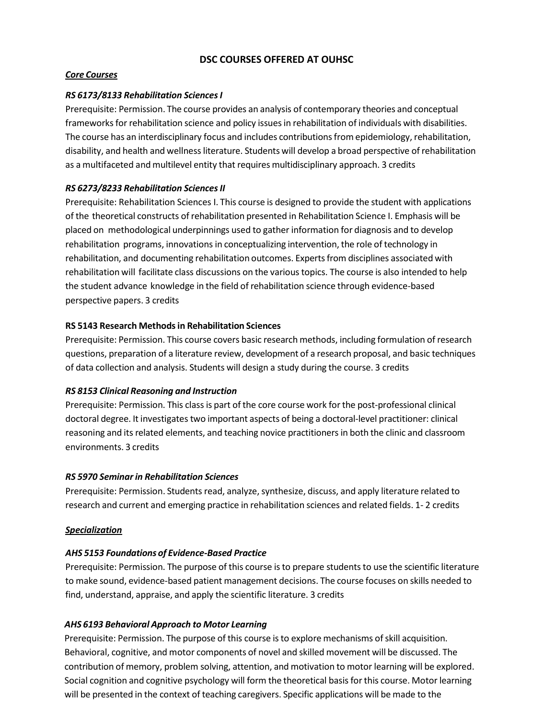## **DSC COURSES OFFERED AT OUHSC**

### *Core Courses*

### *RS 6173/8133 Rehabilitation SciencesI*

Prerequisite: Permission. The course provides an analysis of contemporary theories and conceptual frameworks for rehabilitation science and policy issues in rehabilitation of individuals with disabilities. The course has an interdisciplinary focus and includes contributionsfrom epidemiology, rehabilitation, disability, and health and wellnessliterature. Students will develop a broad perspective ofrehabilitation as a multifaceted and multilevel entity that requires multidisciplinary approach. 3 credits

#### *RS 6273/8233 Rehabilitation SciencesII*

Prerequisite: Rehabilitation Sciences I. This course is designed to provide the student with applications of the theoretical constructs of rehabilitation presented in Rehabilitation Science I. Emphasis will be placed on methodological underpinnings used to gather information for diagnosis and to develop rehabilitation programs, innovations in conceptualizing intervention, the role of technology in rehabilitation, and documenting rehabilitation outcomes. Expertsfrom disciplines associated with rehabilitation will facilitate class discussions on the varioustopics. The course is also intended to help the student advance knowledge in the field of rehabilitation science through evidence‐based perspective papers. 3 credits

#### **RS 5143 Research Methodsin Rehabilitation Sciences**

Prerequisite: Permission. This course covers basic research methods, including formulation of research questions, preparation of a literature review, development of a research proposal, and basic techniques of data collection and analysis. Students will design a study during the course. 3 credits

#### *RS 8153 Clinical Reasoning and Instruction*

Prerequisite: Permission. This class is part of the core course work for the post-professional clinical doctoral degree. It investigates two important aspects of being a doctoral‐level practitioner: clinical reasoning and its related elements, and teaching novice practitionersin both the clinic and classroom environments. 3 credits

#### *RS 5970 Seminarin Rehabilitation Sciences*

Prerequisite: Permission. Students read, analyze, synthesize, discuss, and apply literature related to research and current and emerging practice in rehabilitation sciences and related fields. 1‐ 2 credits

#### *Specialization*

#### *AHS 5153 Foundations of Evidence‐Based Practice*

Prerequisite: Permission. The purpose of this course isto prepare studentsto use the scientific literature to make sound, evidence‐based patient management decisions. The course focuses on skills needed to find, understand, appraise, and apply the scientific literature. 3 credits

### *AHS 6193 Behavioral Approach to Motor Learning*

Prerequisite: Permission. The purpose of this course is to explore mechanisms of skill acquisition. Behavioral, cognitive, and motor components of novel and skilled movement will be discussed. The contribution of memory, problem solving, attention, and motivation to motor learning will be explored. Social cognition and cognitive psychology will form the theoretical basis for this course. Motor learning will be presented in the context of teaching caregivers. Specific applications will be made to the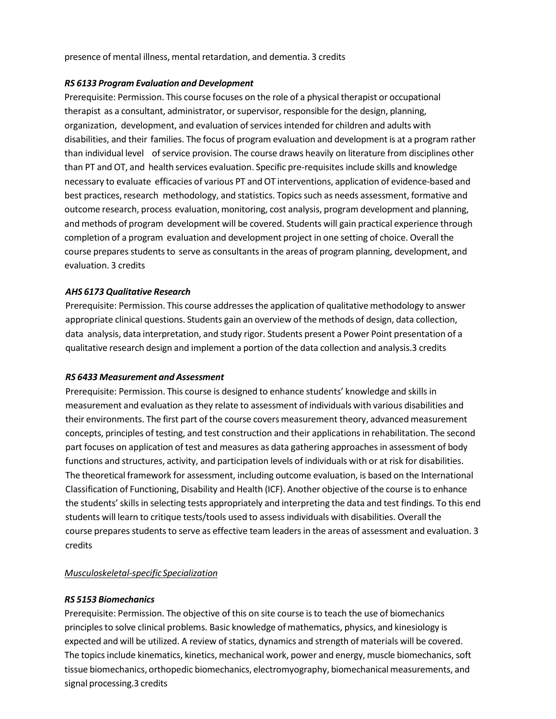presence of mental illness, mental retardation, and dementia. 3 credits

#### *RS 6133 Program Evaluation and Development*

Prerequisite: Permission. This course focuses on the role of a physical therapist or occupational therapist as a consultant, administrator, or supervisor, responsible for the design, planning, organization, development, and evaluation of services intended for children and adults with disabilities, and their families. The focus of program evaluation and development is at a program rather than individual level ofservice provision. The course draws heavily on literature from disciplines other than PT and OT, and health services evaluation. Specific pre‐requisites include skills and knowledge necessary to evaluate efficacies of various PT and OT interventions, application of evidence‐based and best practices, research methodology, and statistics. Topics such as needs assessment, formative and outcome research, process evaluation, monitoring, cost analysis, program development and planning, and methods of program development will be covered. Students will gain practical experience through completion of a program evaluation and development project in one setting of choice. Overall the course prepares students to serve as consultants in the areas of program planning, development, and evaluation. 3 credits

### *AHS 6173 Qualitative Research*

Prerequisite: Permission. This course addressesthe application of qualitative methodology to answer appropriate clinical questions. Students gain an overview of the methods of design, data collection, data analysis, data interpretation, and study rigor. Students present a Power Point presentation of a qualitative research design and implement a portion of the data collection and analysis.3 credits

#### *RS 6433 Measurement and Assessment*

Prerequisite: Permission. This course is designed to enhance students' knowledge and skills in measurement and evaluation asthey relate to assessment of individuals with various disabilities and their environments. The first part of the course covers measurement theory, advanced measurement concepts, principles of testing, and test construction and their applications in rehabilitation. The second part focuses on application of test and measures as data gathering approaches in assessment of body functions and structures, activity, and participation levels of individuals with or at risk for disabilities. The theoretical framework for assessment, including outcome evaluation, is based on the International Classification of Functioning, Disability and Health (ICF). Another objective of the course isto enhance the students'skillsin selecting tests appropriately and interpreting the data and test findings. To this end students will learn to critique tests/tools used to assessindividuals with disabilities. Overall the course prepares students to serve as effective team leaders in the areas of assessment and evaluation. 3 credits

### *Musculoskeletal-specific Specialization*

### *RS 5153 Biomechanics*

Prerequisite: Permission. The objective of this on site course is to teach the use of biomechanics principlesto solve clinical problems. Basic knowledge of mathematics, physics, and kinesiology is expected and will be utilized. A review of statics, dynamics and strength of materials will be covered. The topics include kinematics, kinetics, mechanical work, power and energy, muscle biomechanics, soft tissue biomechanics, orthopedic biomechanics, electromyography, biomechanical measurements, and signal processing.3 credits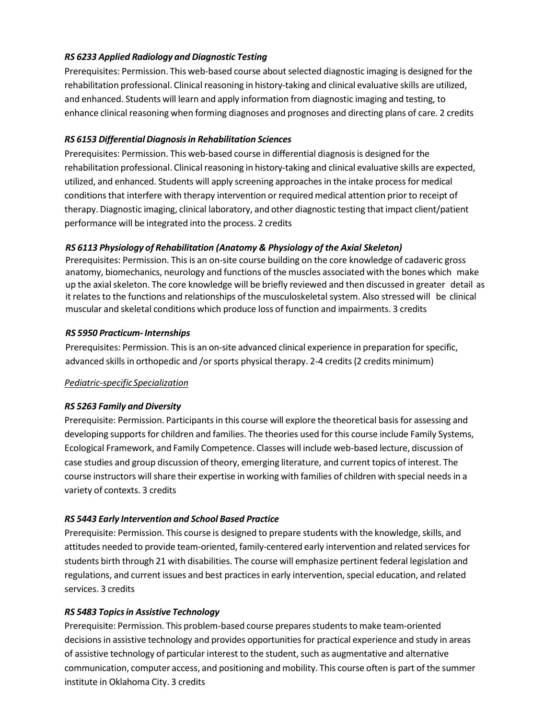# *RS 6233 Applied Radiology and Diagnostic Testing*

Prerequisites: Permission. This web-based course about selected diagnostic imaging is designed for the rehabilitation professional. Clinical reasoning in history‐taking and clinical evaluative skills are utilized, and enhanced. Students will learn and apply information from diagnostic imaging and testing, to enhance clinical reasoning when forming diagnoses and prognoses and directing plans of care. 2 credits

# *RS 6153 Differential Diagnosisin Rehabilitation Sciences*

Prerequisites: Permission. This web-based course in differential diagnosis is designed for the rehabilitation professional. Clinical reasoning in history‐taking and clinical evaluative skills are expected, utilized, and enhanced. Students will apply screening approaches in the intake process for medical conditions that interfere with therapy intervention or required medical attention prior to receipt of therapy. Diagnostic imaging, clinical laboratory, and other diagnostic testing that impact client/patient performance will be integrated into the process. 2 credits

# *RS 6113 Physiology of Rehabilitation (Anatomy & Physiology of the Axial Skeleton)*

Prerequisites: Permission. This is an on‐site course building on the core knowledge of cadaveric gross anatomy, biomechanics, neurology and functions of the muscles associated with the bones which make up the axial skeleton. The core knowledge will be briefly reviewed and then discussed in greater detail as it relates to the functions and relationships of the musculoskeletal system. Also stressed will be clinical muscular and skeletal conditions which produce loss of function and impairments. 3 credits

### *RS 5950 Practicum‐Internships*

Prerequisites: Permission. Thisis an on‐site advanced clinical experience in preparation for specific, advanced skills in orthopedic and /or sports physical therapy. 2-4 credits (2 credits minimum)

# *Pediatric-specific Specialization*

# *RS 5263 Family and Diversity*

Prerequisite: Permission. Participants in this course will explore the theoretical basis for assessing and developing supports for children and families. The theories used for this course include Family Systems, Ecological Framework, and Family Competence. Classes will include web‐based lecture, discussion of case studies and group discussion oftheory, emerging literature, and current topics of interest. The course instructors will share their expertise in working with families of children with special needs in a variety of contexts. 3 credits

# *RS 5443 Early Intervention and School Based Practice*

Prerequisite: Permission. This course is designed to prepare students with the knowledge, skills, and attitudes needed to provide team-oriented, family-centered early intervention and related services for students birth through 21 with disabilities. The course will emphasize pertinent federal legislation and regulations, and current issues and best practices in early intervention, special education, and related services. 3 credits

# *RS 5483 Topicsin Assistive Technology*

Prerequisite: Permission. This problem-based course prepares students to make team-oriented decisions in assistive technology and provides opportunities for practical experience and study in areas of assistive technology of particular interest to the student, such as augmentative and alternative communication, computer access, and positioning and mobility. This course often is part of the summer institute in Oklahoma City. 3 credits